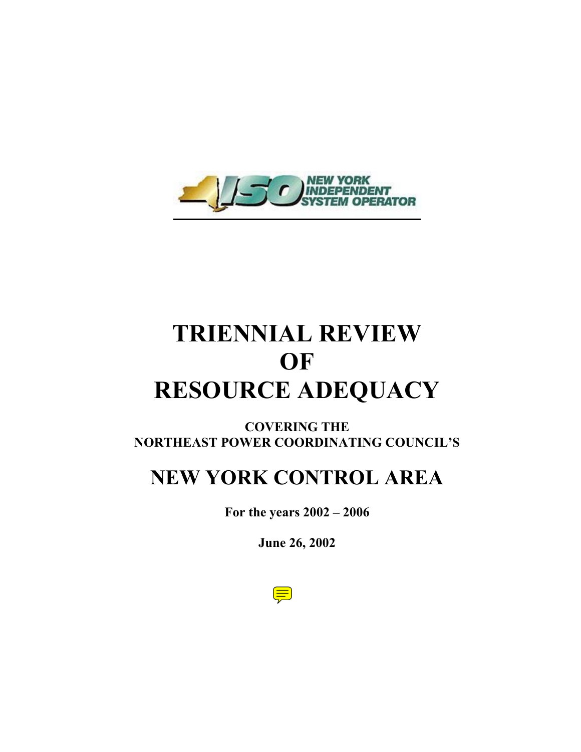

# **TRIENNIAL REVIEW OF RESOURCE ADEQUACY**

### **COVERING THE NORTHEAST POWER COORDINATING COUNCIL'S**

# **NEW YORK CONTROL AREA**

**For the years 2002 – 2006** 

**June 26, 2002** 

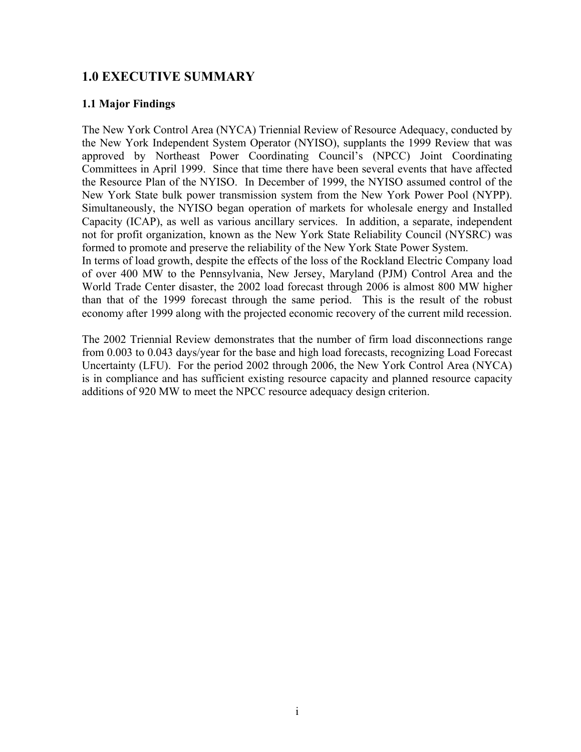### **1.0 EXECUTIVE SUMMARY**

### **1.1 Major Findings**

The New York Control Area (NYCA) Triennial Review of Resource Adequacy, conducted by the New York Independent System Operator (NYISO), supplants the 1999 Review that was approved by Northeast Power Coordinating Council's (NPCC) Joint Coordinating Committees in April 1999. Since that time there have been several events that have affected the Resource Plan of the NYISO. In December of 1999, the NYISO assumed control of the New York State bulk power transmission system from the New York Power Pool (NYPP). Simultaneously, the NYISO began operation of markets for wholesale energy and Installed Capacity (ICAP), as well as various ancillary services. In addition, a separate, independent not for profit organization, known as the New York State Reliability Council (NYSRC) was formed to promote and preserve the reliability of the New York State Power System.

In terms of load growth, despite the effects of the loss of the Rockland Electric Company load of over 400 MW to the Pennsylvania, New Jersey, Maryland (PJM) Control Area and the World Trade Center disaster, the 2002 load forecast through 2006 is almost 800 MW higher than that of the 1999 forecast through the same period. This is the result of the robust economy after 1999 along with the projected economic recovery of the current mild recession.

The 2002 Triennial Review demonstrates that the number of firm load disconnections range from 0.003 to 0.043 days/year for the base and high load forecasts, recognizing Load Forecast Uncertainty (LFU). For the period 2002 through 2006, the New York Control Area (NYCA) is in compliance and has sufficient existing resource capacity and planned resource capacity additions of 920 MW to meet the NPCC resource adequacy design criterion.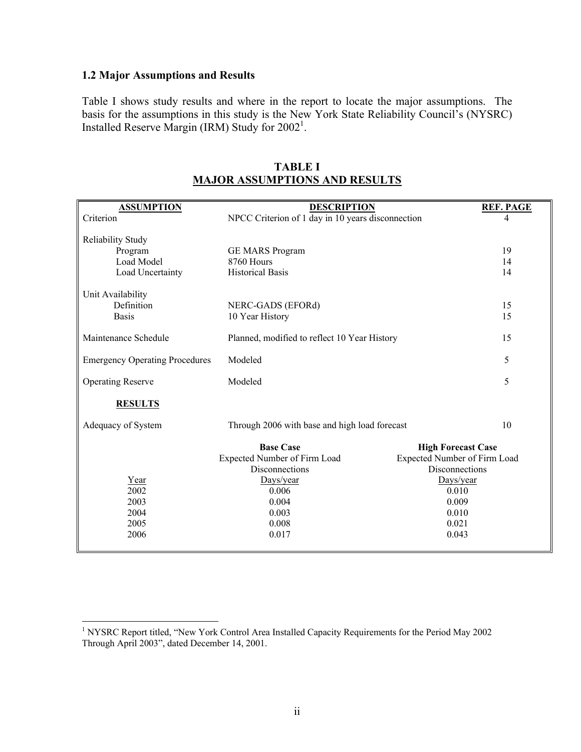### **1.2 Major Assumptions and Results**

Table I shows study results and where in the report to locate the major assumptions. The basis for the assumptions in this study is the New York State Reliability Council's (NYSRC) Installed Reserve Margin (IRM) Study for  $2002<sup>1</sup>$ .

| <b>ASSUMPTION</b>                     | <b>DESCRIPTION</b>                                | <b>REF. PAGE</b>             |  |
|---------------------------------------|---------------------------------------------------|------------------------------|--|
| Criterion                             | NPCC Criterion of 1 day in 10 years disconnection | 4                            |  |
|                                       |                                                   |                              |  |
| Reliability Study                     |                                                   |                              |  |
| Program                               | <b>GE MARS Program</b>                            | 19                           |  |
| Load Model                            | 8760 Hours                                        | 14                           |  |
| Load Uncertainty                      | <b>Historical Basis</b>                           | 14                           |  |
| Unit Availability                     |                                                   |                              |  |
| Definition                            | NERC-GADS (EFORd)                                 | 15                           |  |
| <b>Basis</b>                          | 10 Year History                                   | 15                           |  |
|                                       |                                                   |                              |  |
| Maintenance Schedule                  | Planned, modified to reflect 10 Year History      | 15                           |  |
| <b>Emergency Operating Procedures</b> | Modeled                                           | 5                            |  |
|                                       |                                                   |                              |  |
| <b>Operating Reserve</b>              | Modeled                                           | 5                            |  |
| <b>RESULTS</b>                        |                                                   |                              |  |
|                                       |                                                   |                              |  |
| Adequacy of System                    | Through 2006 with base and high load forecast     | 10                           |  |
|                                       | <b>Base Case</b>                                  | <b>High Forecast Case</b>    |  |
|                                       | Expected Number of Firm Load                      | Expected Number of Firm Load |  |
|                                       | Disconnections                                    | Disconnections               |  |
| Year                                  | Days/year                                         | Days/year                    |  |
| 2002                                  | 0.006                                             | 0.010                        |  |
| 2003                                  | 0.004                                             | 0.009                        |  |
| 2004                                  | 0.003                                             | 0.010                        |  |
| 2005                                  | 0.008                                             | 0.021                        |  |
| 2006                                  | 0.017                                             | 0.043                        |  |
|                                       |                                                   |                              |  |

**TABLE I MAJOR ASSUMPTIONS AND RESULTS**

 1 NYSRC Report titled, "New York Control Area Installed Capacity Requirements for the Period May 2002 Through April 2003", dated December 14, 2001.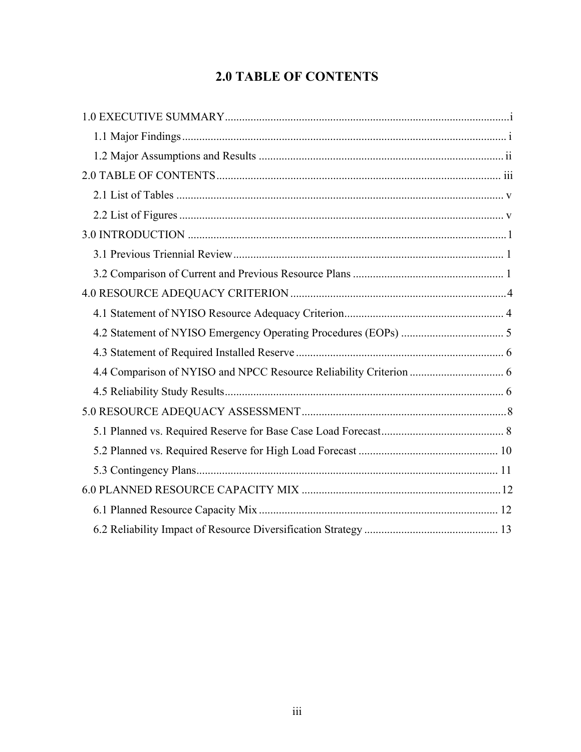### **2.0 TABLE OF CONTENTS**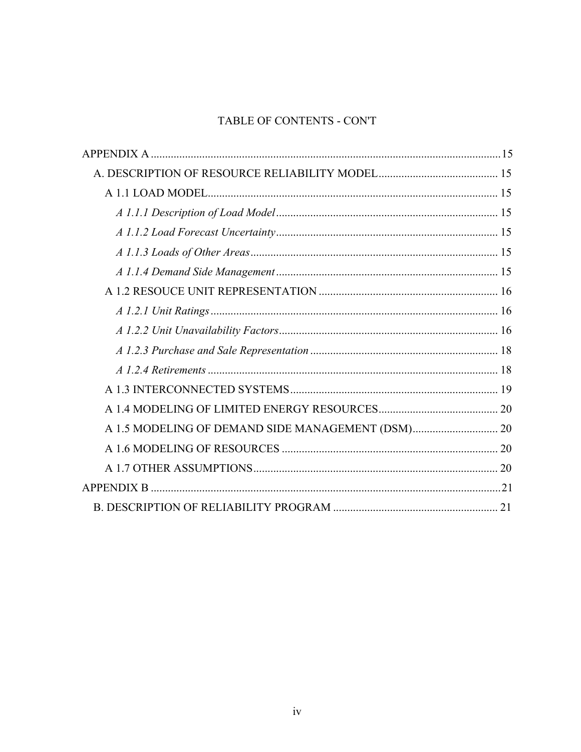### TABLE OF CONTENTS - CON'T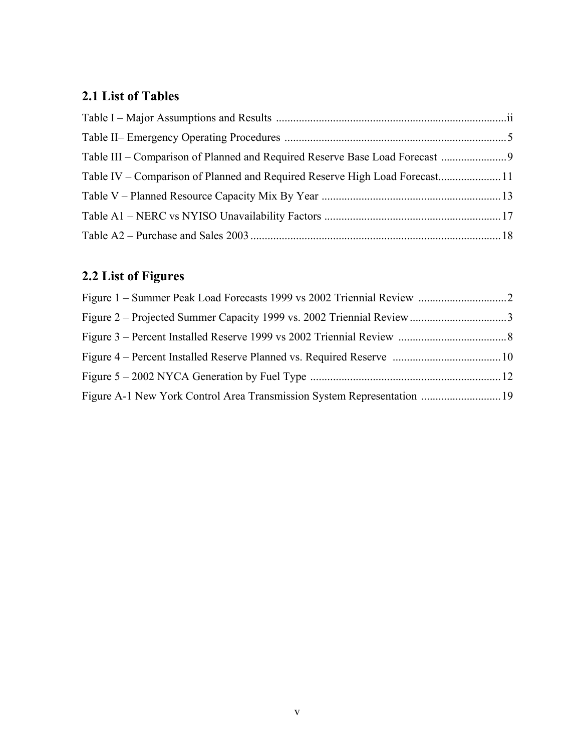## **2.1 List of Tables**

| Table IV – Comparison of Planned and Required Reserve High Load Forecast11 |  |
|----------------------------------------------------------------------------|--|
|                                                                            |  |
|                                                                            |  |
|                                                                            |  |

## **2.2 List of Figures**

| Figure A-1 New York Control Area Transmission System Representation  19 |  |
|-------------------------------------------------------------------------|--|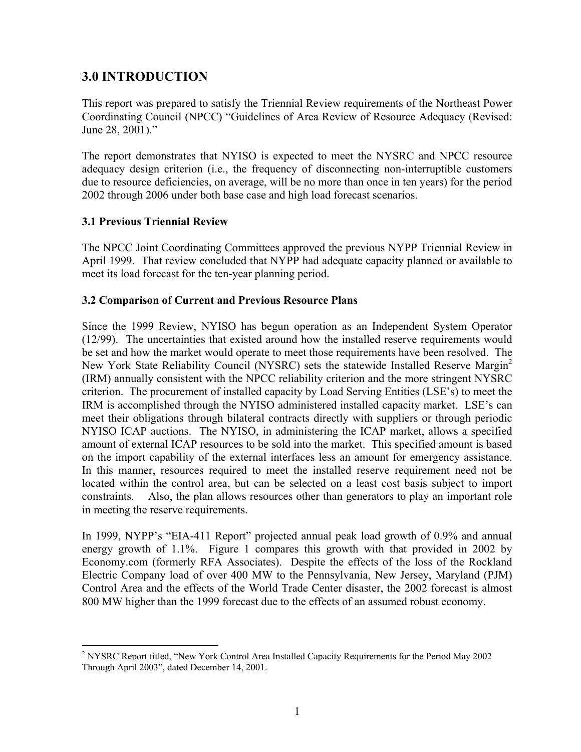### **3.0 INTRODUCTION**

This report was prepared to satisfy the Triennial Review requirements of the Northeast Power Coordinating Council (NPCC) "Guidelines of Area Review of Resource Adequacy (Revised: June 28, 2001)."

The report demonstrates that NYISO is expected to meet the NYSRC and NPCC resource adequacy design criterion (i.e., the frequency of disconnecting non-interruptible customers due to resource deficiencies, on average, will be no more than once in ten years) for the period 2002 through 2006 under both base case and high load forecast scenarios.

### **3.1 Previous Triennial Review**

 $\overline{a}$ 

The NPCC Joint Coordinating Committees approved the previous NYPP Triennial Review in April 1999. That review concluded that NYPP had adequate capacity planned or available to meet its load forecast for the ten-year planning period.

### **3.2 Comparison of Current and Previous Resource Plans**

Since the 1999 Review, NYISO has begun operation as an Independent System Operator (12/99). The uncertainties that existed around how the installed reserve requirements would be set and how the market would operate to meet those requirements have been resolved. The New York State Reliability Council (NYSRC) sets the statewide Installed Reserve Margin<sup>2</sup> (IRM) annually consistent with the NPCC reliability criterion and the more stringent NYSRC criterion. The procurement of installed capacity by Load Serving Entities (LSE's) to meet the IRM is accomplished through the NYISO administered installed capacity market. LSE's can meet their obligations through bilateral contracts directly with suppliers or through periodic NYISO ICAP auctions. The NYISO, in administering the ICAP market, allows a specified amount of external ICAP resources to be sold into the market. This specified amount is based on the import capability of the external interfaces less an amount for emergency assistance. In this manner, resources required to meet the installed reserve requirement need not be located within the control area, but can be selected on a least cost basis subject to import constraints. Also, the plan allows resources other than generators to play an important role in meeting the reserve requirements.

In 1999, NYPP's "EIA-411 Report" projected annual peak load growth of 0.9% and annual energy growth of 1.1%. Figure 1 compares this growth with that provided in 2002 by Economy.com (formerly RFA Associates). Despite the effects of the loss of the Rockland Electric Company load of over 400 MW to the Pennsylvania, New Jersey, Maryland (PJM) Control Area and the effects of the World Trade Center disaster, the 2002 forecast is almost 800 MW higher than the 1999 forecast due to the effects of an assumed robust economy.

<sup>&</sup>lt;sup>2</sup> NYSRC Report titled, "New York Control Area Installed Capacity Requirements for the Period May 2002 Through April 2003", dated December 14, 2001.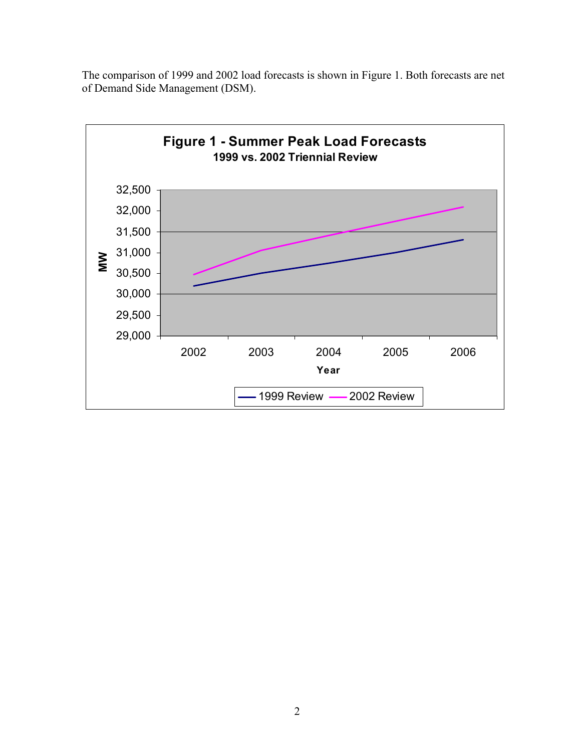

The comparison of 1999 and 2002 load forecasts is shown in Figure 1. Both forecasts are net of Demand Side Management (DSM).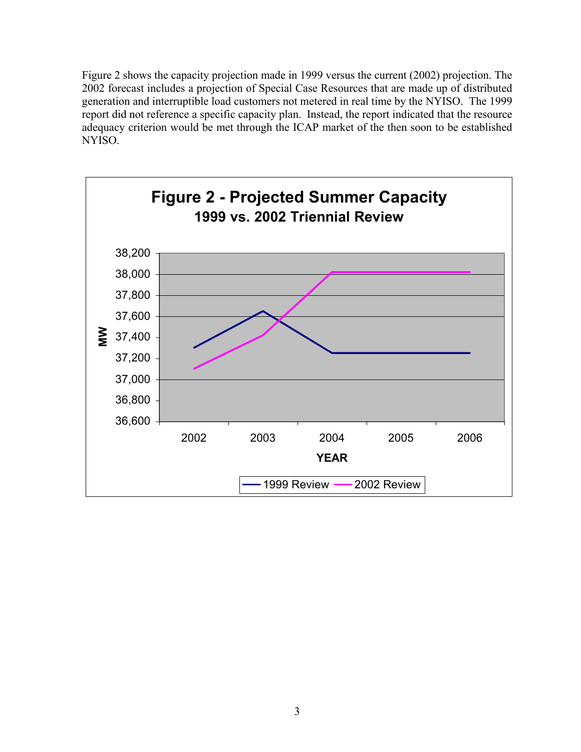Figure 2 shows the capacity projection made in 1999 versus the current (2002) projection. The 2002 forecast includes a projection of Special Case Resources that are made up of distributed generation and interruptible load customers not metered in real time by the NYISO. The 1999 report did not reference a specific capacity plan. Instead, the report indicated that the resource adequacy criterion would be met through the ICAP market of the then soon to be established NYISO.

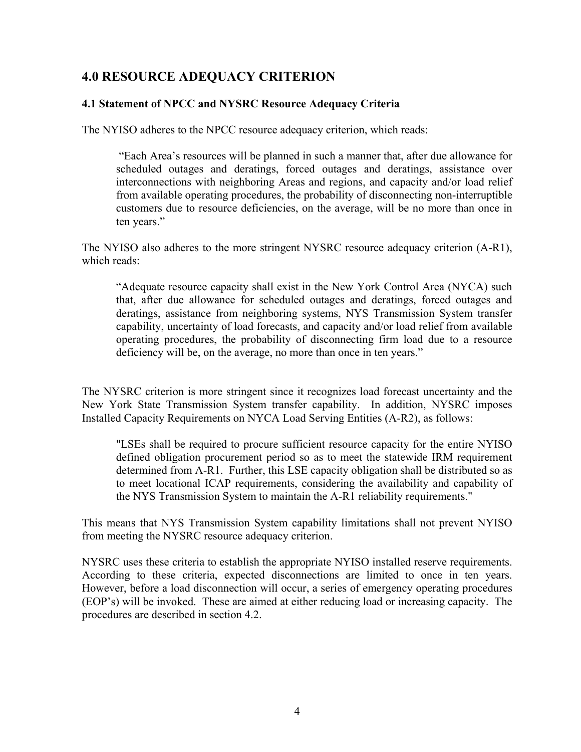### **4.0 RESOURCE ADEQUACY CRITERION**

### **4.1 Statement of NPCC and NYSRC Resource Adequacy Criteria**

The NYISO adheres to the NPCC resource adequacy criterion, which reads:

 "Each Area's resources will be planned in such a manner that, after due allowance for scheduled outages and deratings, forced outages and deratings, assistance over interconnections with neighboring Areas and regions, and capacity and/or load relief from available operating procedures, the probability of disconnecting non-interruptible customers due to resource deficiencies, on the average, will be no more than once in ten years."

The NYISO also adheres to the more stringent NYSRC resource adequacy criterion (A-R1), which reads:

"Adequate resource capacity shall exist in the New York Control Area (NYCA) such that, after due allowance for scheduled outages and deratings, forced outages and deratings, assistance from neighboring systems, NYS Transmission System transfer capability, uncertainty of load forecasts, and capacity and/or load relief from available operating procedures, the probability of disconnecting firm load due to a resource deficiency will be, on the average, no more than once in ten years."

The NYSRC criterion is more stringent since it recognizes load forecast uncertainty and the New York State Transmission System transfer capability. In addition, NYSRC imposes Installed Capacity Requirements on NYCA Load Serving Entities (A-R2), as follows:

"LSEs shall be required to procure sufficient resource capacity for the entire NYISO defined obligation procurement period so as to meet the statewide IRM requirement determined from A-R1. Further, this LSE capacity obligation shall be distributed so as to meet locational ICAP requirements, considering the availability and capability of the NYS Transmission System to maintain the A-R1 reliability requirements."

This means that NYS Transmission System capability limitations shall not prevent NYISO from meeting the NYSRC resource adequacy criterion.

NYSRC uses these criteria to establish the appropriate NYISO installed reserve requirements. According to these criteria, expected disconnections are limited to once in ten years. However, before a load disconnection will occur, a series of emergency operating procedures (EOP's) will be invoked. These are aimed at either reducing load or increasing capacity. The procedures are described in section 4.2.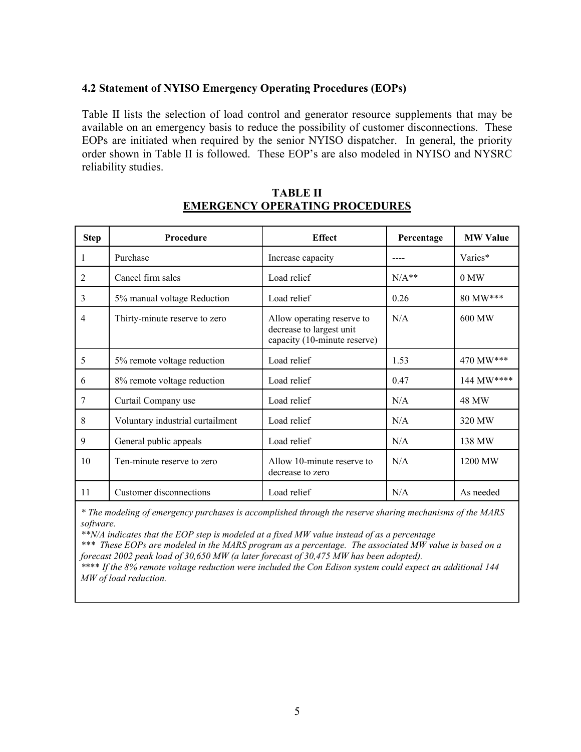### **4.2 Statement of NYISO Emergency Operating Procedures (EOPs)**

Table II lists the selection of load control and generator resource supplements that may be available on an emergency basis to reduce the possibility of customer disconnections. These EOPs are initiated when required by the senior NYISO dispatcher. In general, the priority order shown in Table II is followed. These EOP's are also modeled in NYISO and NYSRC reliability studies.

| <b>Step</b> | Procedure                        | <b>Effect</b>                                                                          | Percentage | <b>MW Value</b> |
|-------------|----------------------------------|----------------------------------------------------------------------------------------|------------|-----------------|
| 1           | Purchase                         | Increase capacity                                                                      |            | Varies*         |
| 2           | Cancel firm sales                | Load relief                                                                            | $N/A**$    | 0 MW            |
| 3           | 5% manual voltage Reduction      | Load relief                                                                            | 0.26       | 80 MW***        |
| 4           | Thirty-minute reserve to zero    | Allow operating reserve to<br>decrease to largest unit<br>capacity (10-minute reserve) | N/A        | 600 MW          |
| 5           | 5% remote voltage reduction      | Load relief                                                                            | 1.53       | 470 MW***       |
| 6           | 8% remote voltage reduction      | Load relief                                                                            |            | 144 MW****      |
| 7           | Curtail Company use              | Load relief                                                                            | N/A        | 48 MW           |
| 8           | Voluntary industrial curtailment | Load relief                                                                            | N/A        | 320 MW          |
| 9           | General public appeals           | Load relief                                                                            | N/A        | 138 MW          |
| 10          | Ten-minute reserve to zero       | Allow 10-minute reserve to<br>decrease to zero                                         | N/A        | 1200 MW         |
| 11          | Customer disconnections          | Load relief                                                                            | N/A        | As needed       |

#### **TABLE II EMERGENCY OPERATING PROCEDURES**

*\* The modeling of emergency purchases is accomplished through the reserve sharing mechanisms of the MARS software.* 

*\*\*N/A indicates that the EOP step is modeled at a fixed MW value instead of as a percentage* 

*\*\*\* These EOPs are modeled in the MARS program as a percentage. The associated MW value is based on a forecast 2002 peak load of 30,650 MW (a later forecast of 30,475 MW has been adopted).* 

*\**\*\*\* *If the 8% remote voltage reduction were included the Con Edison system could expect an additional 144 MW of load reduction.*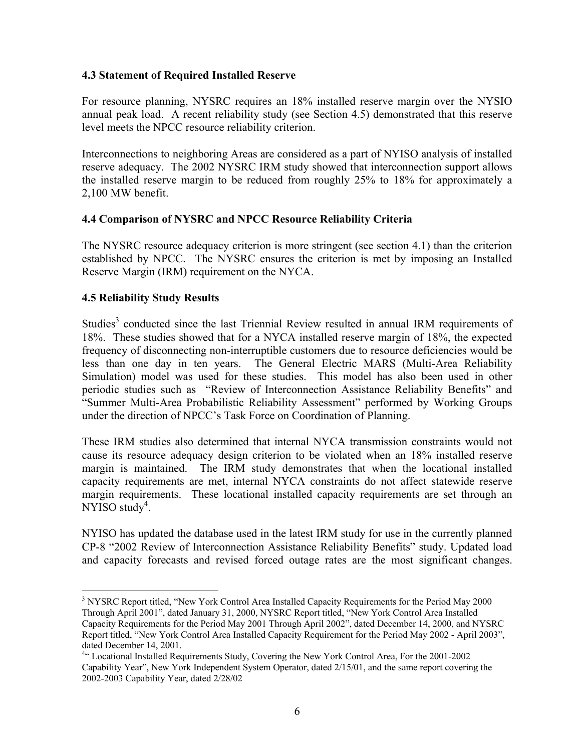### **4.3 Statement of Required Installed Reserve**

For resource planning, NYSRC requires an 18% installed reserve margin over the NYSIO annual peak load. A recent reliability study (see Section 4.5) demonstrated that this reserve level meets the NPCC resource reliability criterion.

Interconnections to neighboring Areas are considered as a part of NYISO analysis of installed reserve adequacy. The 2002 NYSRC IRM study showed that interconnection support allows the installed reserve margin to be reduced from roughly 25% to 18% for approximately a 2,100 MW benefit.

### **4.4 Comparison of NYSRC and NPCC Resource Reliability Criteria**

The NYSRC resource adequacy criterion is more stringent (see section 4.1) than the criterion established by NPCC. The NYSRC ensures the criterion is met by imposing an Installed Reserve Margin (IRM) requirement on the NYCA.

### **4.5 Reliability Study Results**

 $\overline{a}$ 

Studies<sup>3</sup> conducted since the last Triennial Review resulted in annual IRM requirements of 18%. These studies showed that for a NYCA installed reserve margin of 18%, the expected frequency of disconnecting non-interruptible customers due to resource deficiencies would be less than one day in ten years. The General Electric MARS (Multi-Area Reliability Simulation) model was used for these studies. This model has also been used in other periodic studies such as "Review of Interconnection Assistance Reliability Benefits" and "Summer Multi-Area Probabilistic Reliability Assessment" performed by Working Groups under the direction of NPCC's Task Force on Coordination of Planning.

These IRM studies also determined that internal NYCA transmission constraints would not cause its resource adequacy design criterion to be violated when an 18% installed reserve margin is maintained. The IRM study demonstrates that when the locational installed capacity requirements are met, internal NYCA constraints do not affect statewide reserve margin requirements. These locational installed capacity requirements are set through an  $NYISO$  study<sup>4</sup>.

NYISO has updated the database used in the latest IRM study for use in the currently planned CP-8 "2002 Review of Interconnection Assistance Reliability Benefits" study. Updated load and capacity forecasts and revised forced outage rates are the most significant changes.

<sup>&</sup>lt;sup>3</sup> NYSRC Report titled, "New York Control Area Installed Capacity Requirements for the Period May 2000 Through April 2001", dated January 31, 2000, NYSRC Report titled, "New York Control Area Installed Capacity Requirements for the Period May 2001 Through April 2002", dated December 14, 2000, and NYSRC Report titled, "New York Control Area Installed Capacity Requirement for the Period May 2002 - April 2003", dated December 14, 2001.

<sup>&</sup>lt;sup>4</sup>" Locational Installed Requirements Study, Covering the New York Control Area, For the 2001-2002 Capability Year", New York Independent System Operator, dated 2/15/01, and the same report covering the 2002-2003 Capability Year, dated 2/28/02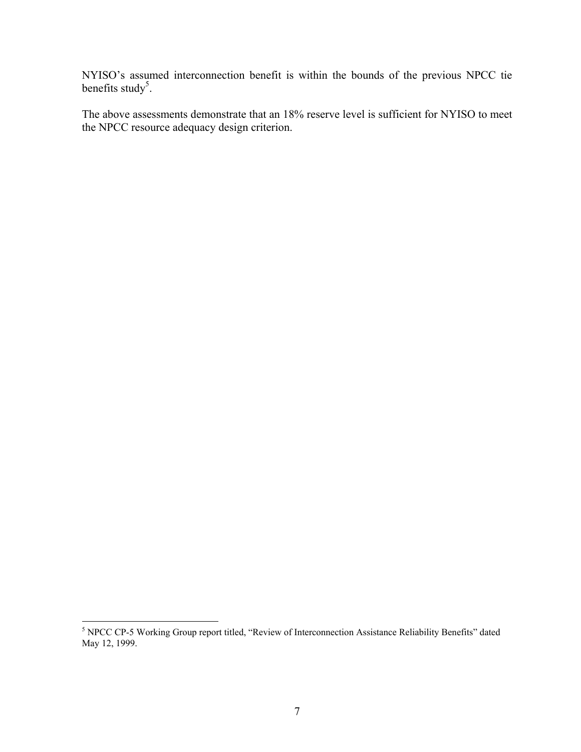NYISO's assumed interconnection benefit is within the bounds of the previous NPCC tie benefits study<sup>5</sup>.

The above assessments demonstrate that an 18% reserve level is sufficient for NYISO to meet the NPCC resource adequacy design criterion.

<sup>&</sup>lt;sup>5</sup> NPCC CP-5 Working Group report titled, "Review of Interconnection Assistance Reliability Benefits" dated May 12, 1999.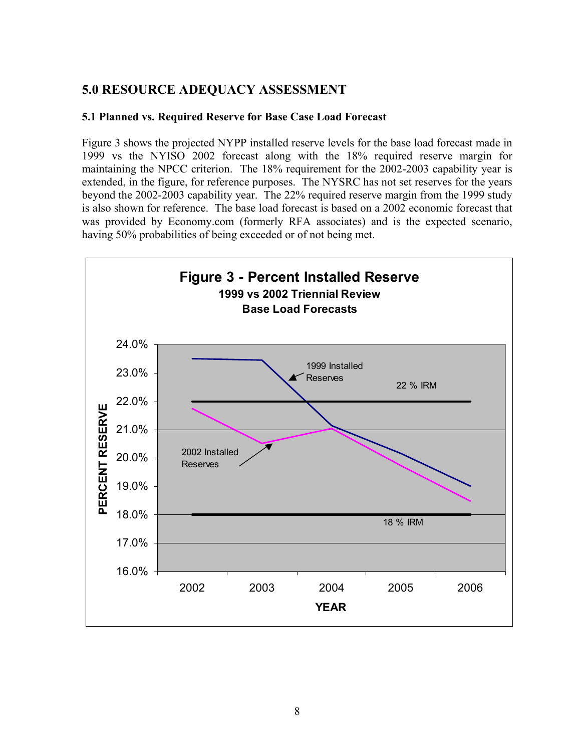### **5.0 RESOURCE ADEQUACY ASSESSMENT**

### **5.1 Planned vs. Required Reserve for Base Case Load Forecast**

Figure 3 shows the projected NYPP installed reserve levels for the base load forecast made in 1999 vs the NYISO 2002 forecast along with the 18% required reserve margin for maintaining the NPCC criterion. The 18% requirement for the 2002-2003 capability year is extended, in the figure, for reference purposes. The NYSRC has not set reserves for the years beyond the 2002-2003 capability year. The 22% required reserve margin from the 1999 study is also shown for reference. The base load forecast is based on a 2002 economic forecast that was provided by Economy.com (formerly RFA associates) and is the expected scenario, having 50% probabilities of being exceeded or of not being met.

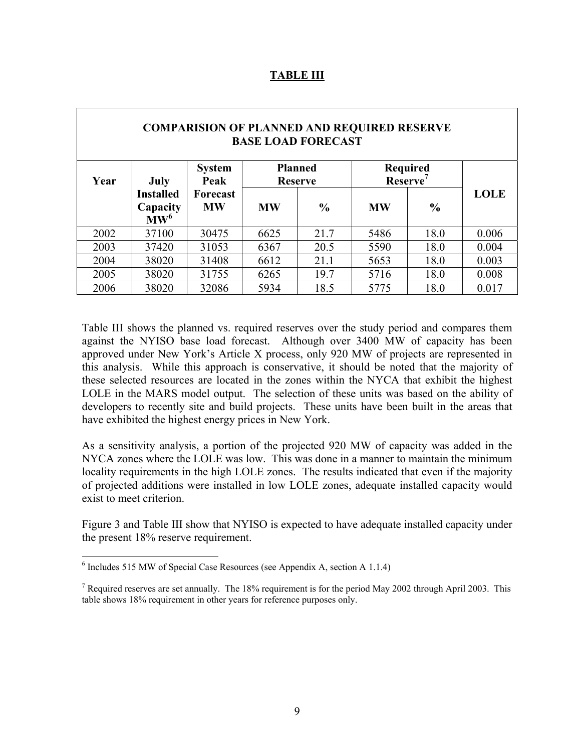|      | <b>COMPARISION OF PLANNED AND REQUIRED RESERVE</b><br><b>BASE LOAD FORECAST</b> |                       |                                  |               |                                         |               |             |  |  |
|------|---------------------------------------------------------------------------------|-----------------------|----------------------------------|---------------|-----------------------------------------|---------------|-------------|--|--|
| Year | July                                                                            | <b>System</b><br>Peak | <b>Planned</b><br><b>Reserve</b> |               | <b>Required</b><br>Reserve <sup>7</sup> |               |             |  |  |
|      | <b>Installed</b><br>Capacity<br>$\mathbf{M}\mathbf{W}^6$                        | Forecast<br><b>MW</b> | <b>MW</b>                        | $\frac{6}{9}$ | <b>MW</b>                               | $\frac{0}{0}$ | <b>LOLE</b> |  |  |
| 2002 | 37100                                                                           | 30475                 | 6625                             | 21.7          | 5486                                    | 18.0          | 0.006       |  |  |
| 2003 | 37420                                                                           | 31053                 | 6367                             | 20.5          | 5590                                    | 18.0          | 0.004       |  |  |
| 2004 | 38020                                                                           | 31408                 | 6612                             | 21.1          | 5653                                    | 18.0          | 0.003       |  |  |
| 2005 | 38020                                                                           | 31755                 | 6265                             | 19.7          | 5716                                    | 18.0          | 0.008       |  |  |
| 2006 | 38020                                                                           | 32086                 | 5934                             | 18.5          | 5775                                    | 18.0          | 0.017       |  |  |

#### **TABLE III**

Table III shows the planned vs. required reserves over the study period and compares them against the NYISO base load forecast. Although over 3400 MW of capacity has been approved under New York's Article X process, only 920 MW of projects are represented in this analysis. While this approach is conservative, it should be noted that the majority of these selected resources are located in the zones within the NYCA that exhibit the highest LOLE in the MARS model output. The selection of these units was based on the ability of developers to recently site and build projects. These units have been built in the areas that have exhibited the highest energy prices in New York.

As a sensitivity analysis, a portion of the projected 920 MW of capacity was added in the NYCA zones where the LOLE was low. This was done in a manner to maintain the minimum locality requirements in the high LOLE zones. The results indicated that even if the majority of projected additions were installed in low LOLE zones, adequate installed capacity would exist to meet criterion.

Figure 3 and Table III show that NYISO is expected to have adequate installed capacity under the present 18% reserve requirement.

 6 Includes 515 MW of Special Case Resources (see Appendix A, section A 1.1.4)

<sup>&</sup>lt;sup>7</sup> Required reserves are set annually. The 18% requirement is for the period May 2002 through April 2003. This table shows 18% requirement in other years for reference purposes only.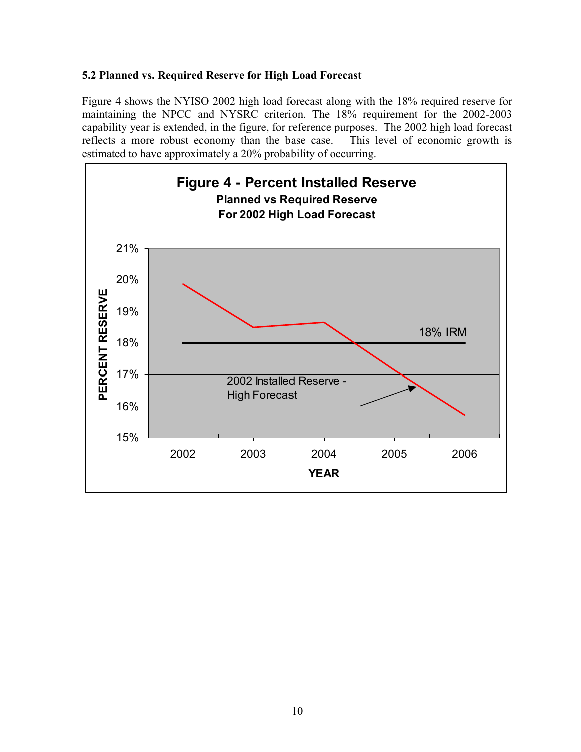### **5.2 Planned vs. Required Reserve for High Load Forecast**

Figure 4 shows the NYISO 2002 high load forecast along with the 18% required reserve for maintaining the NPCC and NYSRC criterion. The 18% requirement for the 2002-2003 capability year is extended, in the figure, for reference purposes. The 2002 high load forecast reflects a more robust economy than the base case. This level of economic growth is estimated to have approximately a 20% probability of occurring.

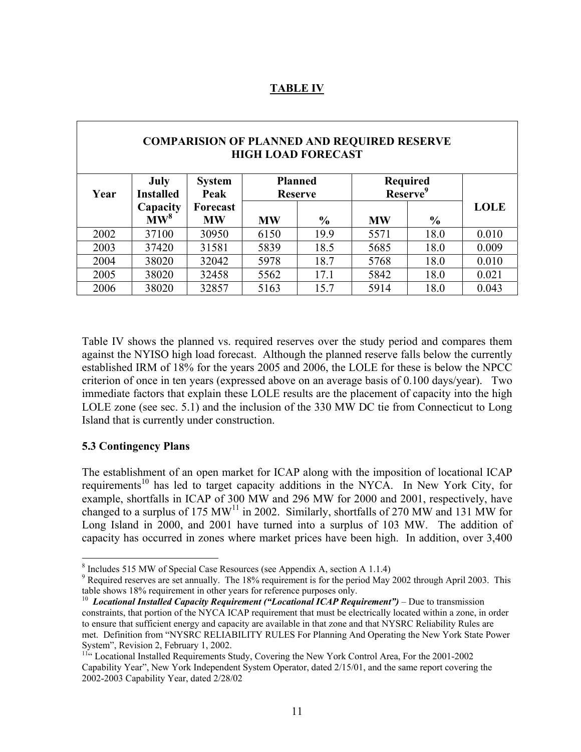### **TABLE IV**

| <b>COMPARISION OF PLANNED AND REQUIRED RESERVE</b><br><b>HIGH LOAD FORECAST</b> |                                 |                       |           |                                  |                                         |               |             |  |
|---------------------------------------------------------------------------------|---------------------------------|-----------------------|-----------|----------------------------------|-----------------------------------------|---------------|-------------|--|
| Year                                                                            | <b>July</b><br><b>Installed</b> | <b>System</b><br>Peak |           | <b>Planned</b><br><b>Reserve</b> | <b>Required</b><br>Reserve <sup>9</sup> |               |             |  |
|                                                                                 | Capacity<br>$\bf{M}W^8$         | Forecast<br><b>MW</b> | <b>MW</b> | $\frac{6}{9}$                    | <b>MW</b>                               | $\frac{0}{0}$ | <b>LOLE</b> |  |
| 2002                                                                            | 37100                           | 30950                 | 6150      | 19.9                             | 5571                                    | 18.0          | 0.010       |  |
| 2003                                                                            | 37420                           | 31581                 | 5839      | 18.5                             | 5685                                    | 18.0          | 0.009       |  |
| 2004                                                                            | 38020                           | 32042                 | 5978      | 18.7                             | 5768                                    | 18.0          | 0.010       |  |
| 2005                                                                            | 38020                           | 32458                 | 5562      | 17.1                             | 5842                                    | 18.0          | 0.021       |  |
| 2006                                                                            | 38020                           | 32857                 | 5163      | 15.7                             | 5914                                    | 18.0          | 0.043       |  |

Table IV shows the planned vs. required reserves over the study period and compares them against the NYISO high load forecast. Although the planned reserve falls below the currently established IRM of 18% for the years 2005 and 2006, the LOLE for these is below the NPCC criterion of once in ten years (expressed above on an average basis of 0.100 days/year). Two immediate factors that explain these LOLE results are the placement of capacity into the high LOLE zone (see sec. 5.1) and the inclusion of the 330 MW DC tie from Connecticut to Long Island that is currently under construction.

#### **5.3 Contingency Plans**

 $\overline{a}$ 

The establishment of an open market for ICAP along with the imposition of locational ICAP requirements<sup>10</sup> has led to target capacity additions in the NYCA. In New York City, for example, shortfalls in ICAP of 300 MW and 296 MW for 2000 and 2001, respectively, have changed to a surplus of 175 MW<sup>11</sup> in 2002. Similarly, shortfalls of 270 MW and 131 MW for Long Island in 2000, and 2001 have turned into a surplus of 103 MW. The addition of capacity has occurred in zones where market prices have been high. In addition, over 3,400

<sup>&</sup>lt;sup>8</sup> Includes 515 MW of Special Case Resources (see Appendix A, section A 1.1.4)

<sup>&</sup>lt;sup>9</sup> Required reserves are set annually. The 18% requirement is for the period May 2002 through April 2003. This table shows 18% requirement in other years for reference purposes only.

<sup>&</sup>lt;sup>10</sup> *Locational Installed Capacity Requirement ("Locational ICAP Requirement")* – Due to transmission constraints, that portion of the NYCA ICAP requirement that must be electrically located within a zone, in order to ensure that sufficient energy and capacity are available in that zone and that NYSRC Reliability Rules are met. Definition from "NYSRC RELIABILITY RULES For Planning And Operating the New York State Power System", Revision 2, February 1, 2002.

<sup>&</sup>lt;sup>11"</sup> Locational Installed Requirements Study, Covering the New York Control Area, For the 2001-2002 Capability Year", New York Independent System Operator, dated 2/15/01, and the same report covering the 2002-2003 Capability Year, dated 2/28/02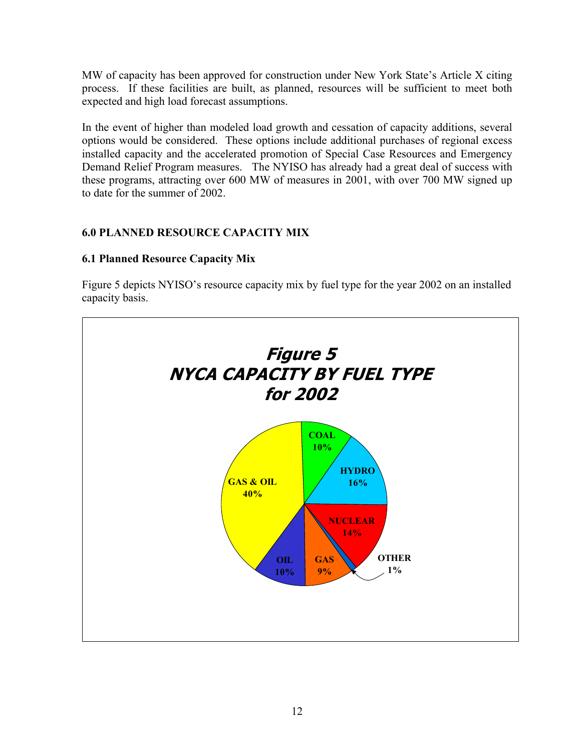MW of capacity has been approved for construction under New York State's Article X citing process. If these facilities are built, as planned, resources will be sufficient to meet both expected and high load forecast assumptions.

In the event of higher than modeled load growth and cessation of capacity additions, several options would be considered. These options include additional purchases of regional excess installed capacity and the accelerated promotion of Special Case Resources and Emergency Demand Relief Program measures. The NYISO has already had a great deal of success with these programs, attracting over 600 MW of measures in 2001, with over 700 MW signed up to date for the summer of 2002.

### **6.0 PLANNED RESOURCE CAPACITY MIX**

### **6.1 Planned Resource Capacity Mix**

Figure 5 depicts NYISO's resource capacity mix by fuel type for the year 2002 on an installed capacity basis.

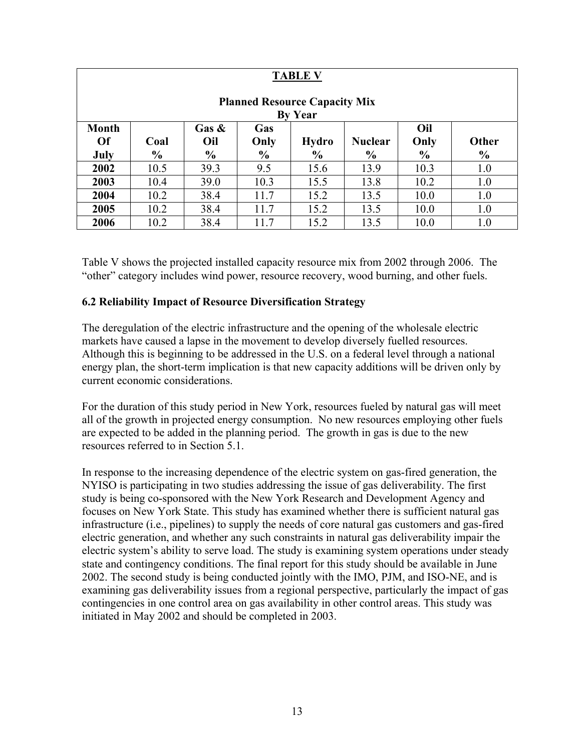| <b>TABLE V</b>                                         |                                                                                                  |               |               |               |               |               |      |  |  |
|--------------------------------------------------------|--------------------------------------------------------------------------------------------------|---------------|---------------|---------------|---------------|---------------|------|--|--|
| <b>Planned Resource Capacity Mix</b><br><b>By Year</b> |                                                                                                  |               |               |               |               |               |      |  |  |
| <b>Month</b><br><b>Of</b>                              | Oil<br>Gas $\&$<br>Gas<br>Oil<br>Only<br>Other<br>Only<br><b>Hydro</b><br><b>Nuclear</b><br>Coal |               |               |               |               |               |      |  |  |
| July                                                   | $\frac{0}{0}$                                                                                    | $\frac{6}{9}$ | $\frac{6}{9}$ | $\frac{6}{6}$ | $\frac{6}{6}$ | $\frac{6}{9}$ | $\%$ |  |  |
| 2002                                                   | 10.5                                                                                             | 39.3          | 9.5           | 15.6          | 13.9          | 10.3          | 1.0  |  |  |
| 2003                                                   | 10.4                                                                                             | 39.0          | 10.3          | 15.5          | 13.8          | 10.2          | 1.0  |  |  |
| 2004                                                   | 10.2                                                                                             | 38.4          | 11.7          | 15.2          | 13.5          | 10.0          | 1.0  |  |  |
| 2005                                                   | 10.2                                                                                             | 38.4          | 11.7          | 15.2          | 13.5          | 10.0          | 1.0  |  |  |
| 2006                                                   | 10.2                                                                                             | 38.4          | 11.7          | 15.2          | 13.5          | 10.0          | 1.0  |  |  |

Table V shows the projected installed capacity resource mix from 2002 through 2006. The "other" category includes wind power, resource recovery, wood burning, and other fuels.

### **6.2 Reliability Impact of Resource Diversification Strategy**

The deregulation of the electric infrastructure and the opening of the wholesale electric markets have caused a lapse in the movement to develop diversely fuelled resources. Although this is beginning to be addressed in the U.S. on a federal level through a national energy plan, the short-term implication is that new capacity additions will be driven only by current economic considerations.

For the duration of this study period in New York, resources fueled by natural gas will meet all of the growth in projected energy consumption. No new resources employing other fuels are expected to be added in the planning period. The growth in gas is due to the new resources referred to in Section 5.1.

In response to the increasing dependence of the electric system on gas-fired generation, the NYISO is participating in two studies addressing the issue of gas deliverability. The first study is being co-sponsored with the New York Research and Development Agency and focuses on New York State. This study has examined whether there is sufficient natural gas infrastructure (i.e., pipelines) to supply the needs of core natural gas customers and gas-fired electric generation, and whether any such constraints in natural gas deliverability impair the electric system's ability to serve load. The study is examining system operations under steady state and contingency conditions. The final report for this study should be available in June 2002. The second study is being conducted jointly with the IMO, PJM, and ISO-NE, and is examining gas deliverability issues from a regional perspective, particularly the impact of gas contingencies in one control area on gas availability in other control areas. This study was initiated in May 2002 and should be completed in 2003.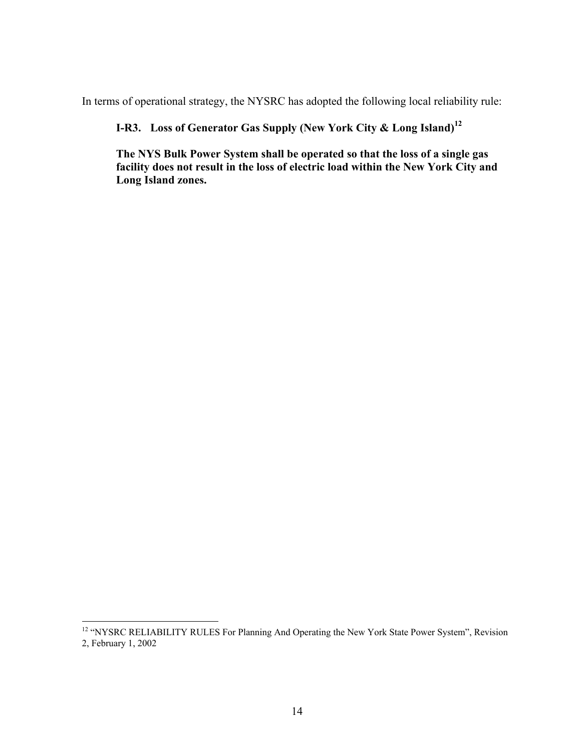In terms of operational strategy, the NYSRC has adopted the following local reliability rule:

**I-R3. Loss of Generator Gas Supply (New York City & Long Island)<sup>12</sup>**

**The NYS Bulk Power System shall be operated so that the loss of a single gas facility does not result in the loss of electric load within the New York City and Long Island zones.** 

 $\overline{a}$ 

<sup>&</sup>lt;sup>12</sup> "NYSRC RELIABILITY RULES For Planning And Operating the New York State Power System", Revision 2, February 1, 2002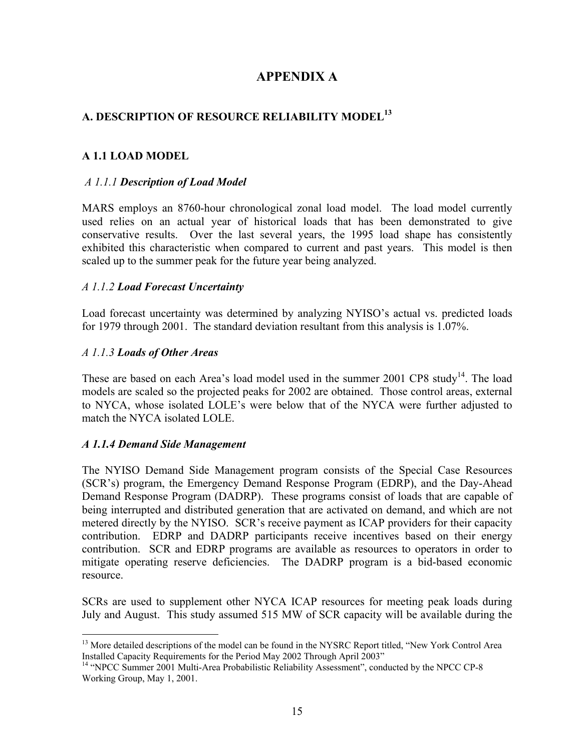### **APPENDIX A**

### **A. DESCRIPTION OF RESOURCE RELIABILITY MODEL<sup>13</sup>**

### **A 1.1 LOAD MODEL**

#### *A 1.1.1 Description of Load Model*

MARS employs an 8760-hour chronological zonal load model. The load model currently used relies on an actual year of historical loads that has been demonstrated to give conservative results. Over the last several years, the 1995 load shape has consistently exhibited this characteristic when compared to current and past years. This model is then scaled up to the summer peak for the future year being analyzed.

#### *A 1.1.2 Load Forecast Uncertainty*

Load forecast uncertainty was determined by analyzing NYISO's actual vs. predicted loads for 1979 through 2001. The standard deviation resultant from this analysis is 1.07%.

#### *A 1.1.3 Loads of Other Areas*

These are based on each Area's load model used in the summer  $2001$  CP8 study<sup>14</sup>. The load models are scaled so the projected peaks for 2002 are obtained. Those control areas, external to NYCA, whose isolated LOLE's were below that of the NYCA were further adjusted to match the NYCA isolated LOLE.

#### *A 1.1.4 Demand Side Management*

 $\overline{a}$ 

The NYISO Demand Side Management program consists of the Special Case Resources (SCR's) program, the Emergency Demand Response Program (EDRP), and the Day-Ahead Demand Response Program (DADRP). These programs consist of loads that are capable of being interrupted and distributed generation that are activated on demand, and which are not metered directly by the NYISO. SCR's receive payment as ICAP providers for their capacity contribution. EDRP and DADRP participants receive incentives based on their energy contribution. SCR and EDRP programs are available as resources to operators in order to mitigate operating reserve deficiencies. The DADRP program is a bid-based economic resource.

SCRs are used to supplement other NYCA ICAP resources for meeting peak loads during July and August. This study assumed 515 MW of SCR capacity will be available during the

<sup>&</sup>lt;sup>13</sup> More detailed descriptions of the model can be found in the NYSRC Report titled, "New York Control Area Installed Capacity Requirements for the Period May 2002 Through April 2003"

<sup>&</sup>lt;sup>14</sup> "NPCC Summer 2001 Multi-Area Probabilistic Reliability Assessment", conducted by the NPCC CP-8 Working Group, May 1, 2001.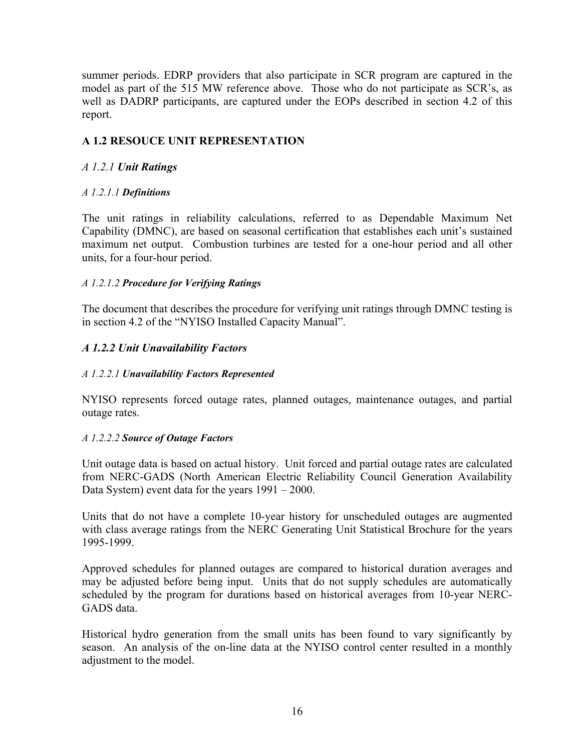summer periods. EDRP providers that also participate in SCR program are captured in the model as part of the 515 MW reference above. Those who do not participate as SCR's, as well as DADRP participants, are captured under the EOPs described in section 4.2 of this report.

### **A 1.2 RESOUCE UNIT REPRESENTATION**

### *A 1.2.1 Unit Ratings*

### *A 1.2.1.1 Definitions*

The unit ratings in reliability calculations, referred to as Dependable Maximum Net Capability (DMNC), are based on seasonal certification that establishes each unit's sustained maximum net output. Combustion turbines are tested for a one-hour period and all other units, for a four-hour period.

### *A 1.2.1.2 Procedure for Verifying Ratings*

The document that describes the procedure for verifying unit ratings through DMNC testing is in section 4.2 of the "NYISO Installed Capacity Manual".

### *A 1.2.2 Unit Unavailability Factors*

### *A 1.2.2.1 Unavailability Factors Represented*

NYISO represents forced outage rates, planned outages, maintenance outages, and partial outage rates.

#### *A 1.2.2.2 Source of Outage Factors*

Unit outage data is based on actual history. Unit forced and partial outage rates are calculated from NERC-GADS (North American Electric Reliability Council Generation Availability Data System) event data for the years 1991 – 2000.

Units that do not have a complete 10-year history for unscheduled outages are augmented with class average ratings from the NERC Generating Unit Statistical Brochure for the years 1995-1999.

Approved schedules for planned outages are compared to historical duration averages and may be adjusted before being input. Units that do not supply schedules are automatically scheduled by the program for durations based on historical averages from 10-year NERC-GADS data.

Historical hydro generation from the small units has been found to vary significantly by season. An analysis of the on-line data at the NYISO control center resulted in a monthly adjustment to the model.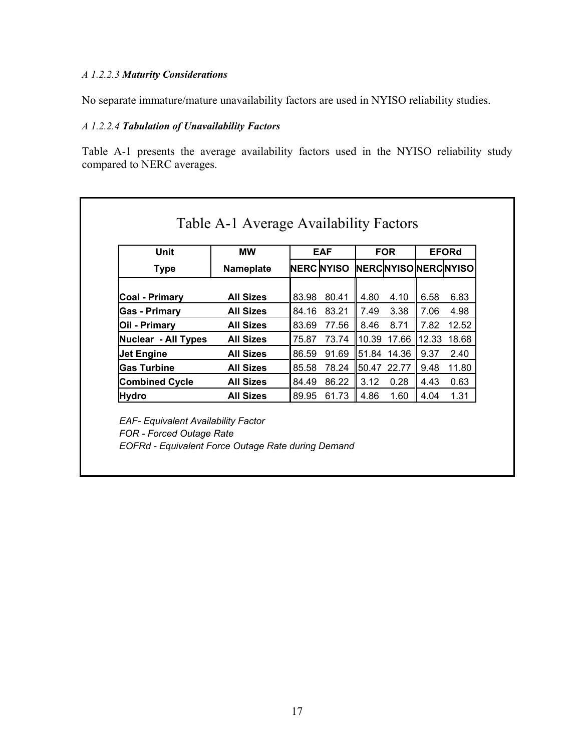### *A 1.2.2.3 Maturity Considerations*

No separate immature/mature unavailability factors are used in NYISO reliability studies.

### *A 1.2.2.4 Tabulation of Unavailability Factors*

Table A-1 presents the average availability factors used in the NYISO reliability study compared to NERC averages.

| Unit                       | <b>MW</b>        |       | <b>EAF</b>                     |             | <b>FOR</b>  |       | <b>EFORd</b> |
|----------------------------|------------------|-------|--------------------------------|-------------|-------------|-------|--------------|
| <b>Type</b>                | <b>Nameplate</b> |       | NERC NYISO NERCNYISO NERCNYISO |             |             |       |              |
| <b>Coal - Primary</b>      | <b>All Sizes</b> | 83.98 | 80.41                          | 4.80        | 4.10        | 6.58  | 6.83         |
| <b>Gas - Primary</b>       | <b>All Sizes</b> | 84.16 | 83.21                          | 7.49        | 3.38        | 7.06  | 4.98         |
| Oil - Primary              | <b>All Sizes</b> | 83.69 | 77.56                          | 8.46        | 8.71        | 7.82  | 12.52        |
| <b>Nuclear - All Types</b> | <b>All Sizes</b> | 75.87 | 73.74                          | 10.39       | 17.66       | 12.33 | 18.68        |
| <b>Jet Engine</b>          | <b>All Sizes</b> | 86.59 | 91.69                          |             | 51.84 14.36 | 9.37  | 2.40         |
| <b>Gas Turbine</b>         | <b>All Sizes</b> | 85.58 | 78.24                          | 50.47 22.77 |             | 9.48  | 11.80        |
| <b>Combined Cycle</b>      | <b>All Sizes</b> | 84.49 | 86.22                          | 3.12        | 0.28        | 4.43  | 0.63         |
| <b>Hydro</b>               | <b>All Sizes</b> | 89.95 | 61.73                          | 4.86        | 1.60        | 4.04  | 1.31         |

 *FOR - Forced Outage Rate EOFRd - Equivalent Force Outage Rate during Demand*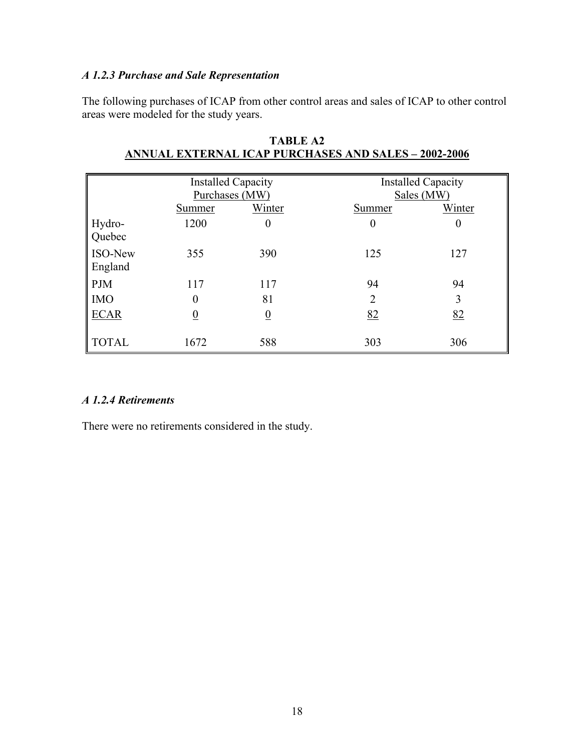### *A 1.2.3 Purchase and Sale Representation*

The following purchases of ICAP from other control areas and sales of ICAP to other control areas were modeled for the study years.

|                           | <b>Installed Capacity</b><br>Purchases (MW) |                 | <b>Installed Capacity</b><br>Sales (MW) |          |  |
|---------------------------|---------------------------------------------|-----------------|-----------------------------------------|----------|--|
|                           | Summer                                      | Winter          | Summer                                  | Winter   |  |
| Hydro-<br>Quebec          | 1200                                        | 0               | $\boldsymbol{0}$                        | $\bf{0}$ |  |
| <b>ISO-New</b><br>England | 355                                         | 390             | 125                                     | 127      |  |
| <b>PJM</b>                | 117                                         | 117             | 94                                      | 94       |  |
| <b>IMO</b>                |                                             | 81              | $\overline{2}$                          | 3        |  |
| <b>ECAR</b>               |                                             | $\underline{0}$ | 82                                      | 82       |  |
| <b>TOTAL</b>              | 1672                                        | 588             | 303                                     | 306      |  |

| TABLE A2                                                    |  |
|-------------------------------------------------------------|--|
| <b>ANNUAL EXTERNAL ICAP PURCHASES AND SALES - 2002-2006</b> |  |

#### *A 1.2.4 Retirements*

There were no retirements considered in the study.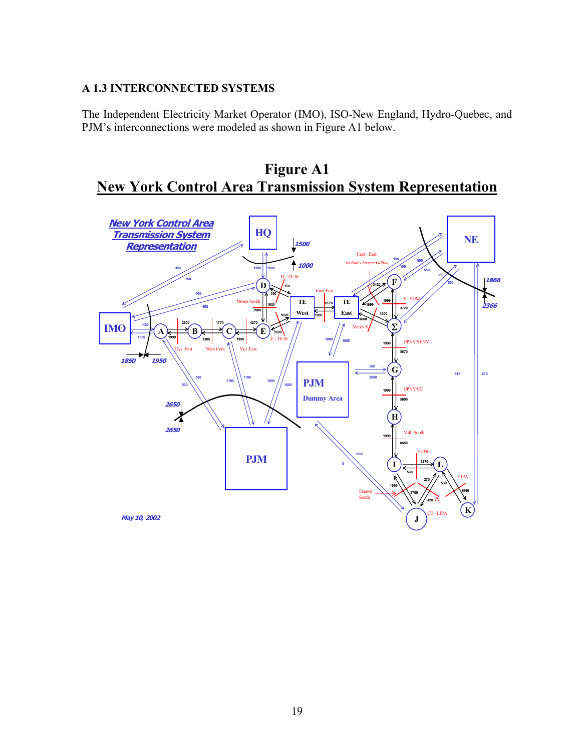### **A 1.3 INTERCONNECTED SYSTEMS**

The Independent Electricity Market Operator (IMO), ISO-New England, Hydro-Quebec, and PJM's interconnections were modeled as shown in Figure A1 below.



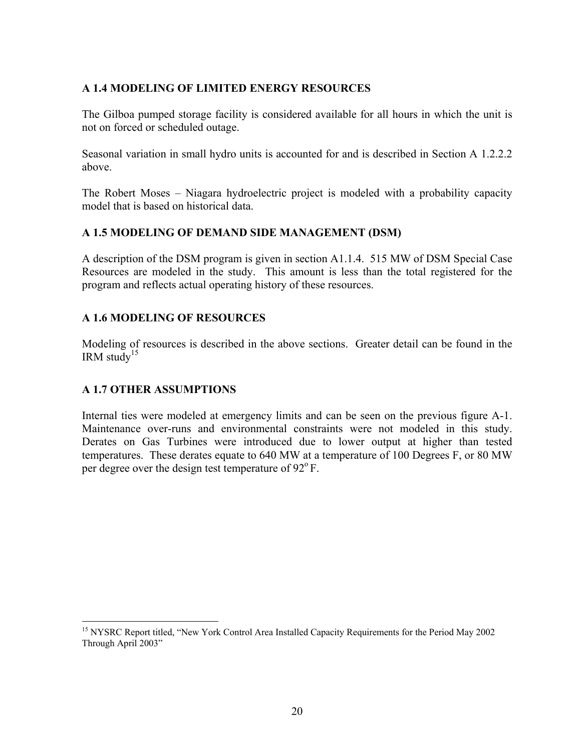### **A 1.4 MODELING OF LIMITED ENERGY RESOURCES**

The Gilboa pumped storage facility is considered available for all hours in which the unit is not on forced or scheduled outage.

Seasonal variation in small hydro units is accounted for and is described in Section A 1.2.2.2 above.

The Robert Moses – Niagara hydroelectric project is modeled with a probability capacity model that is based on historical data.

### **A 1.5 MODELING OF DEMAND SIDE MANAGEMENT (DSM)**

A description of the DSM program is given in section A1.1.4. 515 MW of DSM Special Case Resources are modeled in the study. This amount is less than the total registered for the program and reflects actual operating history of these resources.

### **A 1.6 MODELING OF RESOURCES**

Modeling of resources is described in the above sections. Greater detail can be found in the IRM study<sup>15</sup>

### **A 1.7 OTHER ASSUMPTIONS**

 $\overline{a}$ 

Internal ties were modeled at emergency limits and can be seen on the previous figure A-1. Maintenance over-runs and environmental constraints were not modeled in this study. Derates on Gas Turbines were introduced due to lower output at higher than tested temperatures. These derates equate to 640 MW at a temperature of 100 Degrees F, or 80 MW per degree over the design test temperature of  $92^{\circ}$  F.

<sup>&</sup>lt;sup>15</sup> NYSRC Report titled, "New York Control Area Installed Capacity Requirements for the Period May 2002 Through April 2003"